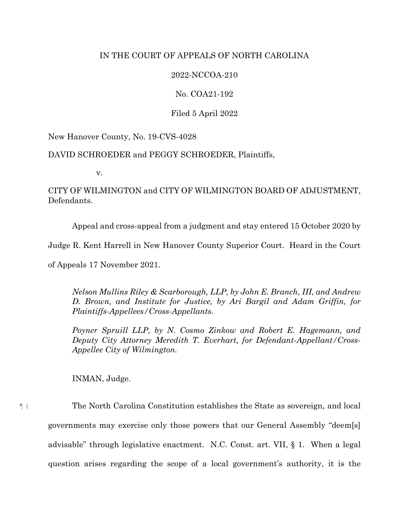# IN THE COURT OF APPEALS OF NORTH CAROLINA

# 2022-NCCOA-210

No. COA21-192

Filed 5 April 2022

New Hanover County, No. 19-CVS-4028

# DAVID SCHROEDER and PEGGY SCHROEDER, Plaintiffs,

v.

CITY OF WILMINGTON and CITY OF WILMINGTON BOARD OF ADJUSTMENT, Defendants.

Appeal and cross-appeal from a judgment and stay entered 15 October 2020 by

Judge R. Kent Harrell in New Hanover County Superior Court. Heard in the Court

of Appeals 17 November 2021.

*Nelson Mullins Riley & Scarborough, LLP, by John E. Branch, III, and Andrew D. Brown, and Institute for Justice, by Ari Bargil and Adam Griffin, for Plaintiffs-Appellees/Cross-Appellants.*

*Poyner Spruill LLP, by N. Cosmo Zinkow and Robert E. Hagemann, and Deputy City Attorney Meredith T. Everhart, for Defendant-Appellant/Cross-Appellee City of Wilmington.*

question arises regarding the scope of a local government's authority, it is the

INMAN, Judge.

¶ 1 The North Carolina Constitution establishes the State as sovereign, and local governments may exercise only those powers that our General Assembly "deem[s] advisable" through legislative enactment. N.C. Const. art. VII, § 1. When a legal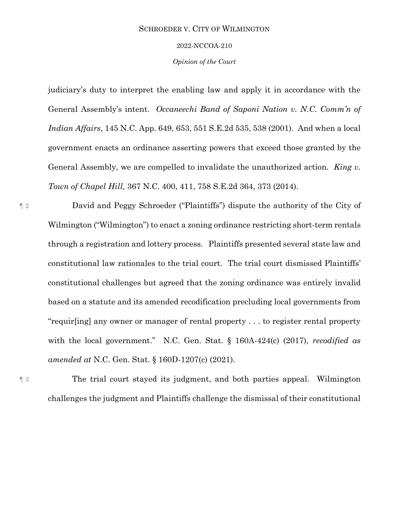#### 2022-NCCOA-210

*Opinion of the Court*

judiciary's duty to interpret the enabling law and apply it in accordance with the General Assembly's intent. *Occaneechi Band of Saponi Nation v. N.C. Comm'n of Indian Affairs*, 145 N.C. App. 649, 653, 551 S.E.2d 535, 538 (2001). And when a local government enacts an ordinance asserting powers that exceed those granted by the General Assembly, we are compelled to invalidate the unauthorized action. *King v. Town of Chapel Hill*, 367 N.C. 400, 411, 758 S.E.2d 364, 373 (2014).

¶ 2 David and Peggy Schroeder ("Plaintiffs") dispute the authority of the City of Wilmington ("Wilmington") to enact a zoning ordinance restricting short-term rentals through a registration and lottery process. Plaintiffs presented several state law and constitutional law rationales to the trial court. The trial court dismissed Plaintiffs' constitutional challenges but agreed that the zoning ordinance was entirely invalid based on a statute and its amended recodification precluding local governments from "requir[ing] any owner or manager of rental property . . . to register rental property with the local government." N.C. Gen. Stat. § 160A-424(c) (2017), *recodified as amended at* N.C. Gen. Stat. § 160D-1207(c) (2021).

¶ 3 The trial court stayed its judgment, and both parties appeal. Wilmington challenges the judgment and Plaintiffs challenge the dismissal of their constitutional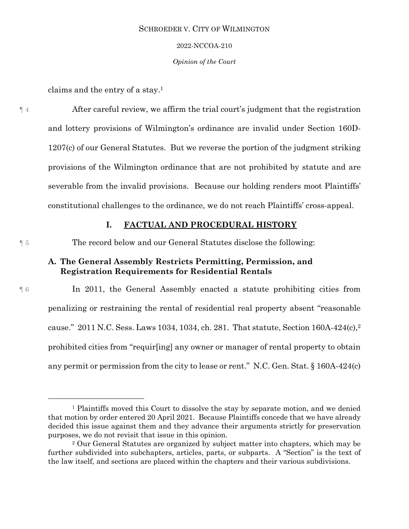#### 2022-NCCOA-210

#### *Opinion of the Court*

claims and the entry of a stay. 1

¶ 4 After careful review, we affirm the trial court's judgment that the registration and lottery provisions of Wilmington's ordinance are invalid under Section 160D-1207(c) of our General Statutes. But we reverse the portion of the judgment striking provisions of the Wilmington ordinance that are not prohibited by statute and are severable from the invalid provisions. Because our holding renders moot Plaintiffs' constitutional challenges to the ordinance, we do not reach Plaintiffs' cross-appeal.

## **I. FACTUAL AND PROCEDURAL HISTORY**

l

¶ 5 The record below and our General Statutes disclose the following:

# **A. The General Assembly Restricts Permitting, Permission, and Registration Requirements for Residential Rentals**

¶ 6 In 2011, the General Assembly enacted a statute prohibiting cities from penalizing or restraining the rental of residential real property absent "reasonable cause." 2011 N.C. Sess. Laws 1034, 1034, ch. 281. That statute, Section 160A-424(c),<sup>2</sup> prohibited cities from "requir[ing] any owner or manager of rental property to obtain any permit or permission from the city to lease or rent." N.C. Gen. Stat. § 160A-424(c)

<sup>1</sup> Plaintiffs moved this Court to dissolve the stay by separate motion, and we denied that motion by order entered 20 April 2021. Because Plaintiffs concede that we have already decided this issue against them and they advance their arguments strictly for preservation purposes, we do not revisit that issue in this opinion.

<sup>2</sup> Our General Statutes are organized by subject matter into chapters, which may be further subdivided into subchapters, articles, parts, or subparts. A "Section" is the text of the law itself, and sections are placed within the chapters and their various subdivisions.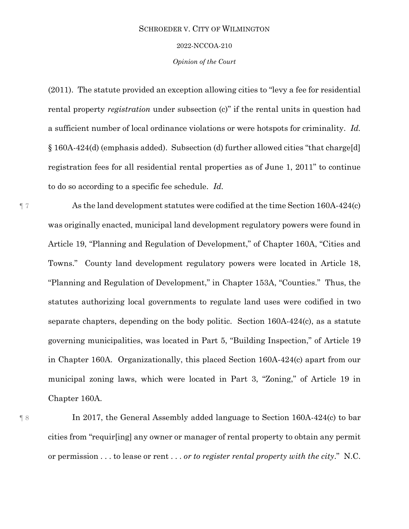#### 2022-NCCOA-210

#### *Opinion of the Court*

(2011). The statute provided an exception allowing cities to "levy a fee for residential rental property *registration* under subsection (c)" if the rental units in question had a sufficient number of local ordinance violations or were hotspots for criminality. *Id.*  § 160A-424(d) (emphasis added). Subsection (d) further allowed cities "that charge[d] registration fees for all residential rental properties as of June 1, 2011" to continue to do so according to a specific fee schedule. *Id.* 

¶ 7 As the land development statutes were codified at the time Section 160A-424(c) was originally enacted, municipal land development regulatory powers were found in Article 19, "Planning and Regulation of Development," of Chapter 160A, "Cities and Towns." County land development regulatory powers were located in Article 18, "Planning and Regulation of Development," in Chapter 153A, "Counties." Thus, the statutes authorizing local governments to regulate land uses were codified in two separate chapters, depending on the body politic. Section 160A-424(c), as a statute governing municipalities, was located in Part 5, "Building Inspection," of Article 19 in Chapter 160A. Organizationally, this placed Section 160A-424(c) apart from our municipal zoning laws, which were located in Part 3, "Zoning," of Article 19 in Chapter 160A.

¶ 8 In 2017, the General Assembly added language to Section 160A-424(c) to bar cities from "requir[ing] any owner or manager of rental property to obtain any permit or permission . . . to lease or rent . . . *or to register rental property with the city*." N.C.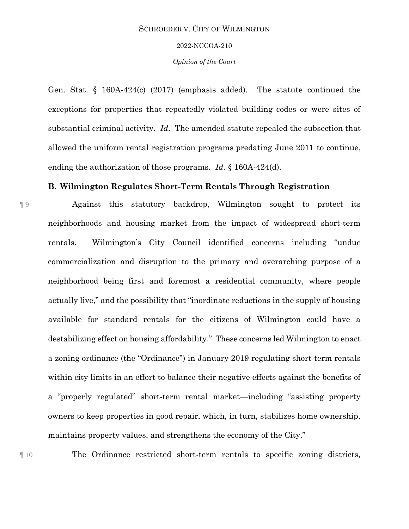#### 2022-NCCOA-210

#### *Opinion of the Court*

Gen. Stat. § 160A-424(c) (2017) (emphasis added). The statute continued the exceptions for properties that repeatedly violated building codes or were sites of substantial criminal activity. *Id.* The amended statute repealed the subsection that allowed the uniform rental registration programs predating June 2011 to continue, ending the authorization of those programs. *Id.* § 160A-424(d).

## **B. Wilmington Regulates Short-Term Rentals Through Registration**

¶ 9 Against this statutory backdrop, Wilmington sought to protect its neighborhoods and housing market from the impact of widespread short-term rentals. Wilmington's City Council identified concerns including "undue commercialization and disruption to the primary and overarching purpose of a neighborhood being first and foremost a residential community, where people actually live," and the possibility that "inordinate reductions in the supply of housing available for standard rentals for the citizens of Wilmington could have a destabilizing effect on housing affordability." These concerns led Wilmington to enact a zoning ordinance (the "Ordinance") in January 2019 regulating short-term rentals within city limits in an effort to balance their negative effects against the benefits of a "properly regulated" short-term rental market—including "assisting property owners to keep properties in good repair, which, in turn, stabilizes home ownership, maintains property values, and strengthens the economy of the City."

¶ 10 The Ordinance restricted short-term rentals to specific zoning districts,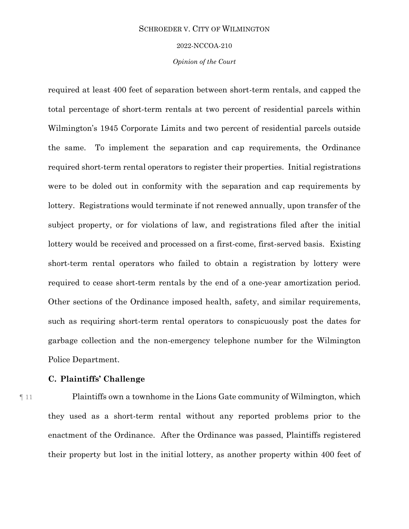#### 2022-NCCOA-210

#### *Opinion of the Court*

required at least 400 feet of separation between short-term rentals, and capped the total percentage of short-term rentals at two percent of residential parcels within Wilmington's 1945 Corporate Limits and two percent of residential parcels outside the same. To implement the separation and cap requirements, the Ordinance required short-term rental operators to register their properties. Initial registrations were to be doled out in conformity with the separation and cap requirements by lottery. Registrations would terminate if not renewed annually, upon transfer of the subject property, or for violations of law, and registrations filed after the initial lottery would be received and processed on a first-come, first-served basis. Existing short-term rental operators who failed to obtain a registration by lottery were required to cease short-term rentals by the end of a one-year amortization period. Other sections of the Ordinance imposed health, safety, and similar requirements, such as requiring short-term rental operators to conspicuously post the dates for garbage collection and the non-emergency telephone number for the Wilmington Police Department.

# **C. Plaintiffs' Challenge**

¶ 11 Plaintiffs own a townhome in the Lions Gate community of Wilmington, which they used as a short-term rental without any reported problems prior to the enactment of the Ordinance. After the Ordinance was passed, Plaintiffs registered their property but lost in the initial lottery, as another property within 400 feet of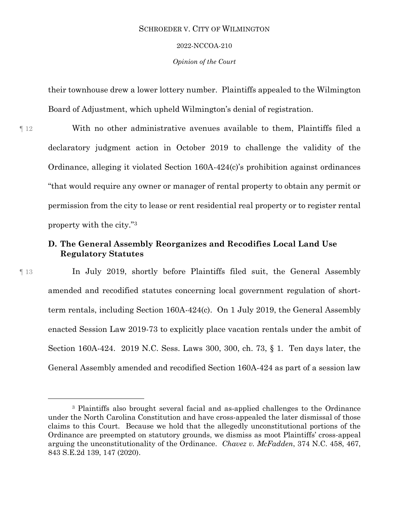2022-NCCOA-210

*Opinion of the Court*

their townhouse drew a lower lottery number. Plaintiffs appealed to the Wilmington Board of Adjustment, which upheld Wilmington's denial of registration.

¶ 12 With no other administrative avenues available to them, Plaintiffs filed a declaratory judgment action in October 2019 to challenge the validity of the Ordinance, alleging it violated Section 160A-424(c)'s prohibition against ordinances "that would require any owner or manager of rental property to obtain any permit or permission from the city to lease or rent residential real property or to register rental property with the city."<sup>3</sup>

# **D. The General Assembly Reorganizes and Recodifies Local Land Use Regulatory Statutes**

l

¶ 13 In July 2019, shortly before Plaintiffs filed suit, the General Assembly amended and recodified statutes concerning local government regulation of shortterm rentals, including Section 160A-424(c). On 1 July 2019, the General Assembly enacted Session Law 2019-73 to explicitly place vacation rentals under the ambit of Section 160A-424. 2019 N.C. Sess. Laws 300, 300, ch. 73, § 1. Ten days later, the General Assembly amended and recodified Section 160A-424 as part of a session law

<sup>3</sup> Plaintiffs also brought several facial and as-applied challenges to the Ordinance under the North Carolina Constitution and have cross-appealed the later dismissal of those claims to this Court. Because we hold that the allegedly unconstitutional portions of the Ordinance are preempted on statutory grounds, we dismiss as moot Plaintiffs' cross-appeal arguing the unconstitutionality of the Ordinance. *Chavez v. McFadden*, 374 N.C. 458, 467, 843 S.E.2d 139, 147 (2020).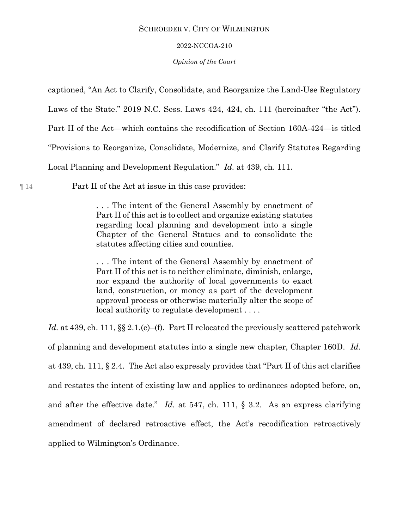#### 2022-NCCOA-210

#### *Opinion of the Court*

captioned, "An Act to Clarify, Consolidate, and Reorganize the Land-Use Regulatory

Laws of the State." 2019 N.C. Sess. Laws 424, 424, ch. 111 (hereinafter "the Act").

Part II of the Act—which contains the recodification of Section 160A-424—is titled

"Provisions to Reorganize, Consolidate, Modernize, and Clarify Statutes Regarding

Local Planning and Development Regulation." *Id.* at 439, ch. 111.

¶ 14 Part II of the Act at issue in this case provides:

. . . The intent of the General Assembly by enactment of Part II of this act is to collect and organize existing statutes regarding local planning and development into a single Chapter of the General Statues and to consolidate the statutes affecting cities and counties.

. . . The intent of the General Assembly by enactment of Part II of this act is to neither eliminate, diminish, enlarge, nor expand the authority of local governments to exact land, construction, or money as part of the development approval process or otherwise materially alter the scope of local authority to regulate development . . . .

*Id.* at 439, ch. 111,  $\S 2.1(e)$ –(f). Part II relocated the previously scattered patchwork of planning and development statutes into a single new chapter, Chapter 160D. *Id.* at 439, ch. 111, § 2.4. The Act also expressly provides that "Part II of this act clarifies and restates the intent of existing law and applies to ordinances adopted before, on, and after the effective date." *Id.* at 547, ch. 111, § 3.2. As an express clarifying amendment of declared retroactive effect, the Act's recodification retroactively applied to Wilmington's Ordinance.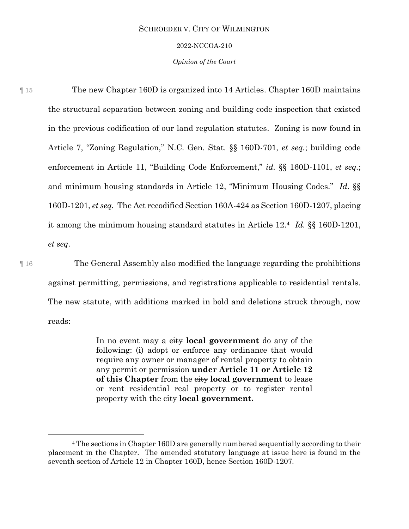#### 2022-NCCOA-210

#### *Opinion of the Court*

¶ 15 The new Chapter 160D is organized into 14 Articles. Chapter 160D maintains the structural separation between zoning and building code inspection that existed in the previous codification of our land regulation statutes. Zoning is now found in Article 7, "Zoning Regulation," N.C. Gen. Stat. §§ 160D-701, *et seq.*; building code enforcement in Article 11, "Building Code Enforcement," *id.* §§ 160D-1101, *et seq.*; and minimum housing standards in Article 12, "Minimum Housing Codes." *Id.* §§ 160D-1201, *et seq.* The Act recodified Section 160A-424 as Section 160D-1207, placing it among the minimum housing standard statutes in Article 12.<sup>4</sup> *Id.* §§ 160D-1201, *et seq*.

¶ 16 The General Assembly also modified the language regarding the prohibitions against permitting, permissions, and registrations applicable to residential rentals. The new statute, with additions marked in bold and deletions struck through, now reads:

> In no event may a city **local government** do any of the following: (i) adopt or enforce any ordinance that would require any owner or manager of rental property to obtain any permit or permission **under Article 11 or Article 12 of this Chapter** from the city **local government** to lease or rent residential real property or to register rental property with the city **local government.**

 $\overline{a}$ 

<sup>4</sup> The sections in Chapter 160D are generally numbered sequentially according to their placement in the Chapter. The amended statutory language at issue here is found in the seventh section of Article 12 in Chapter 160D, hence Section 160D-1207.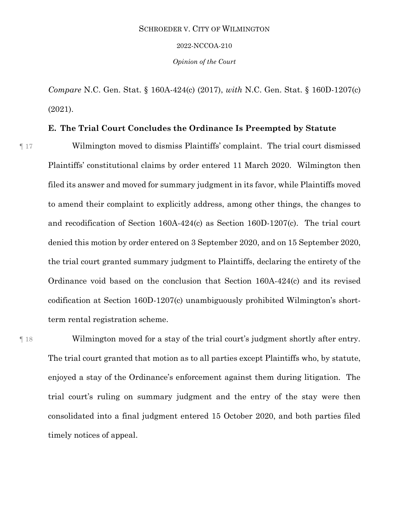#### 2022-NCCOA-210

*Opinion of the Court*

*Compare* N.C. Gen. Stat. § 160A-424(c) (2017), *with* N.C. Gen. Stat. § 160D-1207(c) (2021).

# **E. The Trial Court Concludes the Ordinance Is Preempted by Statute**

¶ 17 Wilmington moved to dismiss Plaintiffs' complaint. The trial court dismissed Plaintiffs' constitutional claims by order entered 11 March 2020. Wilmington then filed its answer and moved for summary judgment in its favor, while Plaintiffs moved to amend their complaint to explicitly address, among other things, the changes to and recodification of Section 160A-424(c) as Section 160D-1207(c). The trial court denied this motion by order entered on 3 September 2020, and on 15 September 2020, the trial court granted summary judgment to Plaintiffs, declaring the entirety of the Ordinance void based on the conclusion that Section 160A-424(c) and its revised codification at Section 160D-1207(c) unambiguously prohibited Wilmington's shortterm rental registration scheme.

¶ 18 Wilmington moved for a stay of the trial court's judgment shortly after entry. The trial court granted that motion as to all parties except Plaintiffs who, by statute, enjoyed a stay of the Ordinance's enforcement against them during litigation. The trial court's ruling on summary judgment and the entry of the stay were then consolidated into a final judgment entered 15 October 2020, and both parties filed timely notices of appeal.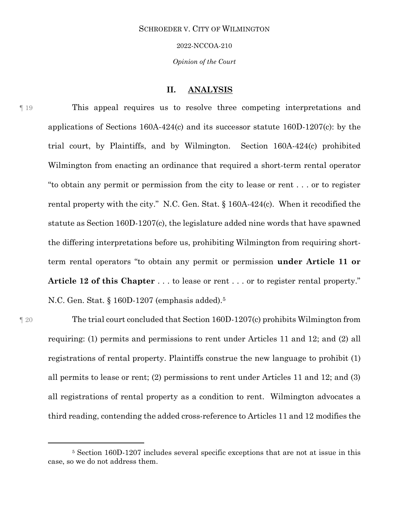2022-NCCOA-210

*Opinion of the Court*

## **II. ANALYSIS**

¶ 19 This appeal requires us to resolve three competing interpretations and applications of Sections 160A-424(c) and its successor statute 160D-1207(c): by the trial court, by Plaintiffs, and by Wilmington. Section 160A-424(c) prohibited Wilmington from enacting an ordinance that required a short-term rental operator "to obtain any permit or permission from the city to lease or rent . . . or to register rental property with the city." N.C. Gen. Stat. § 160A-424(c). When it recodified the statute as Section 160D-1207(c), the legislature added nine words that have spawned the differing interpretations before us, prohibiting Wilmington from requiring shortterm rental operators "to obtain any permit or permission **under Article 11 or Article 12 of this Chapter** . . . to lease or rent . . . or to register rental property." N.C. Gen. Stat. § 160D-1207 (emphasis added).<sup>5</sup>

 $\overline{a}$ 

¶ 20 The trial court concluded that Section 160D-1207(c) prohibits Wilmington from requiring: (1) permits and permissions to rent under Articles 11 and 12; and (2) all registrations of rental property. Plaintiffs construe the new language to prohibit (1) all permits to lease or rent; (2) permissions to rent under Articles 11 and 12; and (3) all registrations of rental property as a condition to rent. Wilmington advocates a third reading, contending the added cross-reference to Articles 11 and 12 modifies the

<sup>5</sup> Section 160D-1207 includes several specific exceptions that are not at issue in this case, so we do not address them.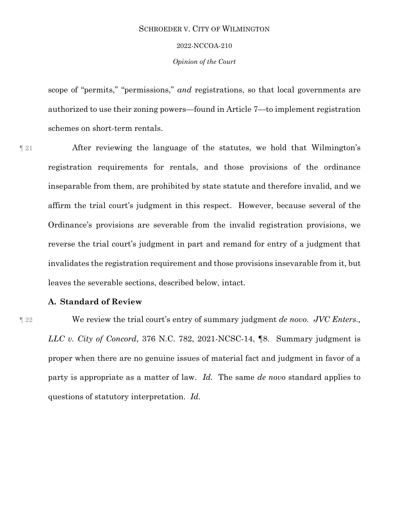#### 2022-NCCOA-210

#### *Opinion of the Court*

scope of "permits," "permissions," *and* registrations, so that local governments are authorized to use their zoning powers—found in Article 7—to implement registration schemes on short-term rentals.

¶ 21 After reviewing the language of the statutes, we hold that Wilmington's registration requirements for rentals, and those provisions of the ordinance inseparable from them, are prohibited by state statute and therefore invalid, and we affirm the trial court's judgment in this respect. However, because several of the Ordinance's provisions are severable from the invalid registration provisions, we reverse the trial court's judgment in part and remand for entry of a judgment that invalidates the registration requirement and those provisions insevarable from it, but leaves the severable sections, described below, intact.

# **A. Standard of Review**

¶ 22 We review the trial court's entry of summary judgment *de novo*. *JVC Enters., LLC v. City of Concord*, 376 N.C. 782, 2021-NCSC-14, ¶8. Summary judgment is proper when there are no genuine issues of material fact and judgment in favor of a party is appropriate as a matter of law. *Id.* The same *de novo* standard applies to questions of statutory interpretation. *Id.*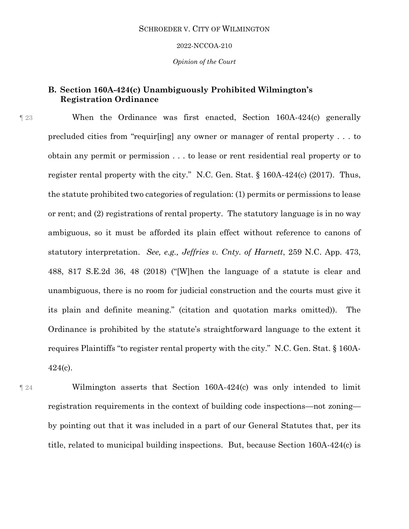#### 2022-NCCOA-210

*Opinion of the Court*

# **B. Section 160A-424(c) Unambiguously Prohibited Wilmington's Registration Ordinance**

¶ 23 When the Ordinance was first enacted, Section 160A-424(c) generally precluded cities from "requir[ing] any owner or manager of rental property . . . to obtain any permit or permission . . . to lease or rent residential real property or to register rental property with the city." N.C. Gen. Stat. § 160A-424(c) (2017). Thus, the statute prohibited two categories of regulation: (1) permits or permissions to lease or rent; and (2) registrations of rental property. The statutory language is in no way ambiguous, so it must be afforded its plain effect without reference to canons of statutory interpretation. *See, e.g., Jeffries v. Cnty. of Harnett*, 259 N.C. App. 473, 488, 817 S.E.2d 36, 48 (2018) ("[W]hen the language of a statute is clear and unambiguous, there is no room for judicial construction and the courts must give it its plain and definite meaning." (citation and quotation marks omitted)). The Ordinance is prohibited by the statute's straightforward language to the extent it requires Plaintiffs "to register rental property with the city." N.C. Gen. Stat. § 160A- $424(c)$ .

¶ 24 Wilmington asserts that Section 160A-424(c) was only intended to limit registration requirements in the context of building code inspections—not zoning by pointing out that it was included in a part of our General Statutes that, per its title, related to municipal building inspections. But, because Section 160A-424(c) is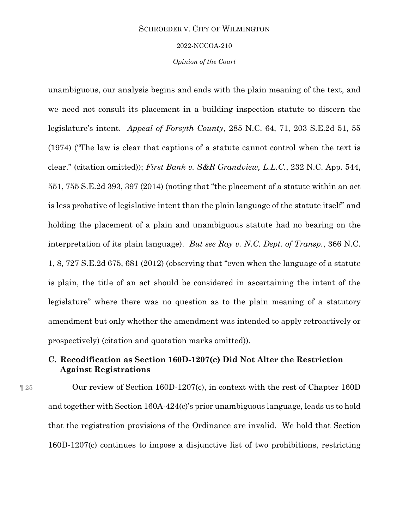#### 2022-NCCOA-210

#### *Opinion of the Court*

unambiguous, our analysis begins and ends with the plain meaning of the text, and we need not consult its placement in a building inspection statute to discern the legislature's intent. *Appeal of Forsyth County*, 285 N.C. 64, 71, 203 S.E.2d 51, 55 (1974) ("The law is clear that captions of a statute cannot control when the text is clear." (citation omitted)); *First Bank v. S&R Grandview, L.L.C.*, 232 N.C. App. 544, 551, 755 S.E.2d 393, 397 (2014) (noting that "the placement of a statute within an act is less probative of legislative intent than the plain language of the statute itself" and holding the placement of a plain and unambiguous statute had no bearing on the interpretation of its plain language). *But see Ray v. N.C. Dept. of Transp.*, 366 N.C. 1, 8, 727 S.E.2d 675, 681 (2012) (observing that "even when the language of a statute is plain, the title of an act should be considered in ascertaining the intent of the legislature" where there was no question as to the plain meaning of a statutory amendment but only whether the amendment was intended to apply retroactively or prospectively) (citation and quotation marks omitted)).

# **C. Recodification as Section 160D-1207(c) Did Not Alter the Restriction Against Registrations**

¶ 25 Our review of Section 160D-1207(c), in context with the rest of Chapter 160D and together with Section 160A-424(c)'s prior unambiguous language, leads us to hold that the registration provisions of the Ordinance are invalid. We hold that Section 160D-1207(c) continues to impose a disjunctive list of two prohibitions, restricting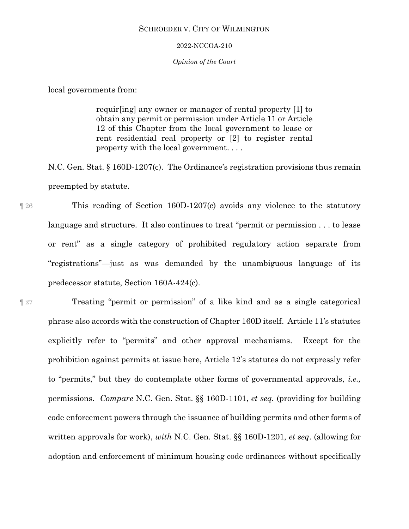#### 2022-NCCOA-210

#### *Opinion of the Court*

local governments from:

requir[ing] any owner or manager of rental property [1] to obtain any permit or permission under Article 11 or Article 12 of this Chapter from the local government to lease or rent residential real property or [2] to register rental property with the local government. . . .

N.C. Gen. Stat. § 160D-1207(c). The Ordinance's registration provisions thus remain preempted by statute.

¶ 26 This reading of Section 160D-1207(c) avoids any violence to the statutory language and structure. It also continues to treat "permit or permission . . . to lease or rent" as a single category of prohibited regulatory action separate from "registrations"—just as was demanded by the unambiguous language of its predecessor statute, Section 160A-424(c).

¶ 27 Treating "permit or permission" of a like kind and as a single categorical phrase also accords with the construction of Chapter 160D itself. Article 11's statutes explicitly refer to "permits" and other approval mechanisms. Except for the prohibition against permits at issue here, Article 12's statutes do not expressly refer to "permits," but they do contemplate other forms of governmental approvals, *i.e.,*  permissions. *Compare* N.C. Gen. Stat. §§ 160D-1101, *et seq.* (providing for building code enforcement powers through the issuance of building permits and other forms of written approvals for work), *with* N.C. Gen. Stat. §§ 160D-1201, *et seq*. (allowing for adoption and enforcement of minimum housing code ordinances without specifically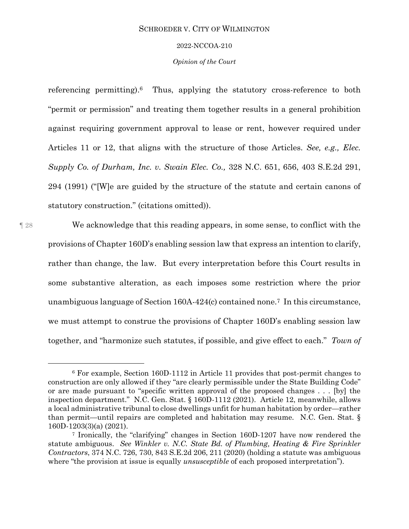#### 2022-NCCOA-210

#### *Opinion of the Court*

referencing permitting). <sup>6</sup> Thus, applying the statutory cross-reference to both "permit or permission" and treating them together results in a general prohibition against requiring government approval to lease or rent, however required under Articles 11 or 12, that aligns with the structure of those Articles. *See, e.g., Elec. Supply Co. of Durham, Inc. v. Swain Elec. Co.,* 328 N.C. 651, 656, 403 S.E.2d 291, 294 (1991) ("[W]e are guided by the structure of the statute and certain canons of statutory construction." (citations omitted)).

l

¶ 28 We acknowledge that this reading appears, in some sense, to conflict with the provisions of Chapter 160D's enabling session law that express an intention to clarify, rather than change, the law. But every interpretation before this Court results in some substantive alteration, as each imposes some restriction where the prior unambiguous language of Section 160A-424(c) contained none.7 In this circumstance, we must attempt to construe the provisions of Chapter 160D's enabling session law together, and "harmonize such statutes, if possible, and give effect to each." *Town of* 

<sup>6</sup> For example, Section 160D-1112 in Article 11 provides that post-permit changes to construction are only allowed if they "are clearly permissible under the State Building Code" or are made pursuant to "specific written approval of the proposed changes . . . [by] the inspection department." N.C. Gen. Stat. § 160D-1112 (2021). Article 12, meanwhile, allows a local administrative tribunal to close dwellings unfit for human habitation by order—rather than permit—until repairs are completed and habitation may resume. N.C. Gen. Stat. § 160D-1203(3)(a) (2021).

<sup>7</sup> Ironically, the "clarifying" changes in Section 160D-1207 have now rendered the statute ambiguous. *See Winkler v. N.C. State Bd. of Plumbing, Heating & Fire Sprinkler Contractors*, 374 N.C. 726, 730, 843 S.E.2d 206, 211 (2020) (holding a statute was ambiguous where "the provision at issue is equally *unsusceptible* of each proposed interpretation").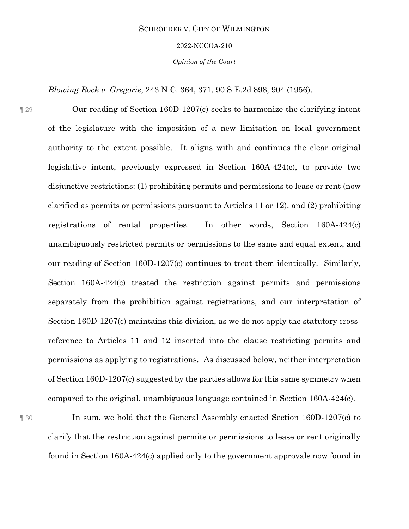#### 2022-NCCOA-210

*Opinion of the Court*

*Blowing Rock v. Gregorie*, 243 N.C. 364, 371, 90 S.E.2d 898, 904 (1956).

¶ 29 Our reading of Section 160D-1207(c) seeks to harmonize the clarifying intent of the legislature with the imposition of a new limitation on local government authority to the extent possible. It aligns with and continues the clear original legislative intent, previously expressed in Section 160A-424(c), to provide two disjunctive restrictions: (1) prohibiting permits and permissions to lease or rent (now clarified as permits or permissions pursuant to Articles 11 or 12), and (2) prohibiting registrations of rental properties. In other words, Section 160A-424(c) unambiguously restricted permits or permissions to the same and equal extent, and our reading of Section 160D-1207(c) continues to treat them identically. Similarly, Section 160A-424(c) treated the restriction against permits and permissions separately from the prohibition against registrations, and our interpretation of Section 160D-1207(c) maintains this division, as we do not apply the statutory crossreference to Articles 11 and 12 inserted into the clause restricting permits and permissions as applying to registrations. As discussed below, neither interpretation of Section 160D-1207(c) suggested by the parties allows for this same symmetry when compared to the original, unambiguous language contained in Section 160A-424(c).

¶ 30 In sum, we hold that the General Assembly enacted Section 160D-1207(c) to clarify that the restriction against permits or permissions to lease or rent originally found in Section 160A-424(c) applied only to the government approvals now found in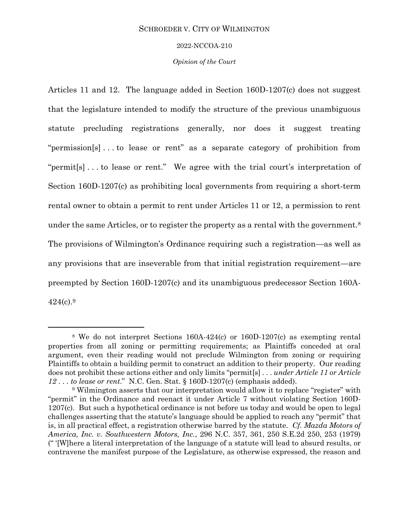#### 2022-NCCOA-210

#### *Opinion of the Court*

Articles 11 and 12. The language added in Section 160D-1207(c) does not suggest that the legislature intended to modify the structure of the previous unambiguous statute precluding registrations generally, nor does it suggest treating "permission[s] . . . to lease or rent" as a separate category of prohibition from "permit[s] . . . to lease or rent." We agree with the trial court's interpretation of Section 160D-1207(c) as prohibiting local governments from requiring a short-term rental owner to obtain a permit to rent under Articles 11 or 12, a permission to rent under the same Articles, or to register the property as a rental with the government.<sup>8</sup> The provisions of Wilmington's Ordinance requiring such a registration—as well as any provisions that are inseverable from that initial registration requirement—are preempted by Section 160D-1207(c) and its unambiguous predecessor Section 160A-424(c). 9

l

<sup>8</sup> We do not interpret Sections 160A-424(c) or 160D-1207(c) as exempting rental properties from all zoning or permitting requirements; as Plaintiffs conceded at oral argument, even their reading would not preclude Wilmington from zoning or requiring Plaintiffs to obtain a building permit to construct an addition to their property. Our reading does not prohibit these actions either and only limits "permit[s] . . . *under Article 11 or Article 12* . . . *to lease or rent*." N.C. Gen. Stat. § 160D-1207(c) (emphasis added).

<sup>9</sup> Wilmington asserts that our interpretation would allow it to replace "register" with "permit" in the Ordinance and reenact it under Article 7 without violating Section 160D-1207(c). But such a hypothetical ordinance is not before us today and would be open to legal challenges asserting that the statute's language should be applied to reach any "permit" that is, in all practical effect, a registration otherwise barred by the statute. *Cf. Mazda Motors of America, Inc. v. Southwestern Motors, Inc.*, 296 N.C. 357, 361, 250 S.E.2d 250, 253 (1979) (" '[W]here a literal interpretation of the language of a statute will lead to absurd results, or contravene the manifest purpose of the Legislature, as otherwise expressed, the reason and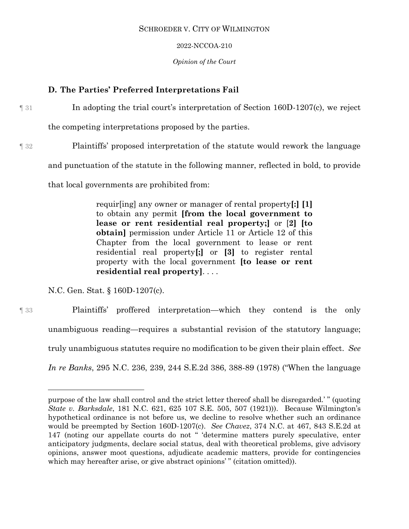## 2022-NCCOA-210

## *Opinion of the Court*

# **D. The Parties' Preferred Interpretations Fail**

¶ 31 In adopting the trial court's interpretation of Section 160D-1207(c), we reject

the competing interpretations proposed by the parties.

¶ 32 Plaintiffs' proposed interpretation of the statute would rework the language

and punctuation of the statute in the following manner, reflected in bold, to provide

that local governments are prohibited from:

requir[ing] any owner or manager of rental property**[:] [1]** to obtain any permit **[from the local government to lease or rent residential real property;]** or [**2] [to obtain]** permission under Article 11 or Article 12 of this Chapter from the local government to lease or rent residential real property**[;]** or **[3]** to register rental property with the local government **[to lease or rent residential real property]**. . . .

N.C. Gen. Stat. § 160D-1207(c).

l

¶ 33 Plaintiffs' proffered interpretation—which they contend is the only unambiguous reading—requires a substantial revision of the statutory language; truly unambiguous statutes require no modification to be given their plain effect. *See In re Banks*, 295 N.C. 236, 239, 244 S.E.2d 386, 388-89 (1978) ("When the language

purpose of the law shall control and the strict letter thereof shall be disregarded.' " (quoting *State v. Barksdale*, 181 N.C. 621, 625 107 S.E. 505, 507 (1921))). Because Wilmington's hypothetical ordinance is not before us, we decline to resolve whether such an ordinance would be preempted by Section 160D-1207(c). *See Chavez*, 374 N.C. at 467, 843 S.E.2d at 147 (noting our appellate courts do not " 'determine matters purely speculative, enter anticipatory judgments, declare social status, deal with theoretical problems, give advisory opinions, answer moot questions, adjudicate academic matters, provide for contingencies which may hereafter arise, or give abstract opinions'" (citation omitted)).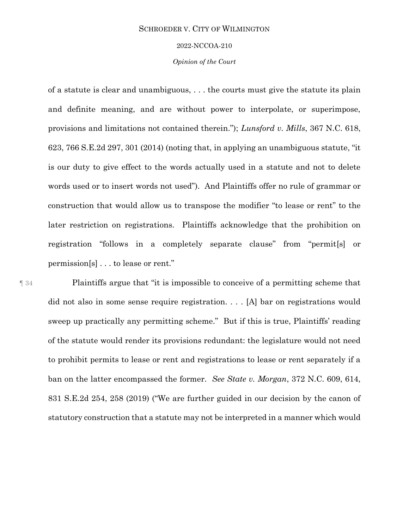#### 2022-NCCOA-210

#### *Opinion of the Court*

of a statute is clear and unambiguous, . . . the courts must give the statute its plain and definite meaning, and are without power to interpolate, or superimpose, provisions and limitations not contained therein."); *Lunsford v. Mills*, 367 N.C. 618, 623, 766 S.E.2d 297, 301 (2014) (noting that, in applying an unambiguous statute, "it is our duty to give effect to the words actually used in a statute and not to delete words used or to insert words not used"). And Plaintiffs offer no rule of grammar or construction that would allow us to transpose the modifier "to lease or rent" to the later restriction on registrations. Plaintiffs acknowledge that the prohibition on registration "follows in a completely separate clause" from "permit[s] or permission[s] . . . to lease or rent."

¶ 34 Plaintiffs argue that "it is impossible to conceive of a permitting scheme that did not also in some sense require registration. . . . [A] bar on registrations would sweep up practically any permitting scheme." But if this is true, Plaintiffs' reading of the statute would render its provisions redundant: the legislature would not need to prohibit permits to lease or rent and registrations to lease or rent separately if a ban on the latter encompassed the former. *See State v. Morgan*, 372 N.C. 609, 614, 831 S.E.2d 254, 258 (2019) ("We are further guided in our decision by the canon of statutory construction that a statute may not be interpreted in a manner which would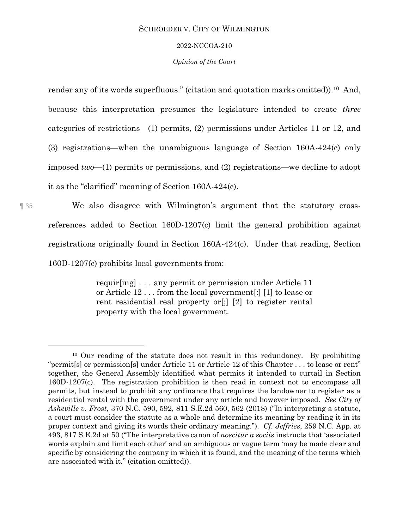#### 2022-NCCOA-210

#### *Opinion of the Court*

render any of its words superfluous." (citation and quotation marks omitted)).10 And, because this interpretation presumes the legislature intended to create *three* categories of restrictions—(1) permits, (2) permissions under Articles 11 or 12, and (3) registrations—when the unambiguous language of Section 160A-424(c) only imposed *two*—(1) permits or permissions, and (2) registrations—we decline to adopt it as the "clarified" meaning of Section 160A-424(c).

¶ 35 We also disagree with Wilmington's argument that the statutory crossreferences added to Section 160D-1207(c) limit the general prohibition against registrations originally found in Section 160A-424(c). Under that reading, Section 160D-1207(c) prohibits local governments from:

> requir[ing] . . . any permit or permission under Article 11 or Article 12 . . . from the local government[:] [1] to lease or rent residential real property or[;] [2] to register rental property with the local government.

l

<sup>10</sup> Our reading of the statute does not result in this redundancy. By prohibiting "permit[s] or permission[s] under Article 11 or Article 12 of this Chapter . . . to lease or rent" together, the General Assembly identified what permits it intended to curtail in Section 160D-1207(c). The registration prohibition is then read in context not to encompass all permits, but instead to prohibit any ordinance that requires the landowner to register as a residential rental with the government under any article and however imposed. *See City of Asheville v. Frost*, 370 N.C. 590, 592, 811 S.E.2d 560, 562 (2018) ("In interpreting a statute, a court must consider the statute as a whole and determine its meaning by reading it in its proper context and giving its words their ordinary meaning."). *Cf. Jeffries*, 259 N.C. App. at 493, 817 S.E.2d at 50 ("The interpretative canon of *noscitur a sociis* instructs that 'associated words explain and limit each other' and an ambiguous or vague term 'may be made clear and specific by considering the company in which it is found, and the meaning of the terms which are associated with it." (citation omitted)).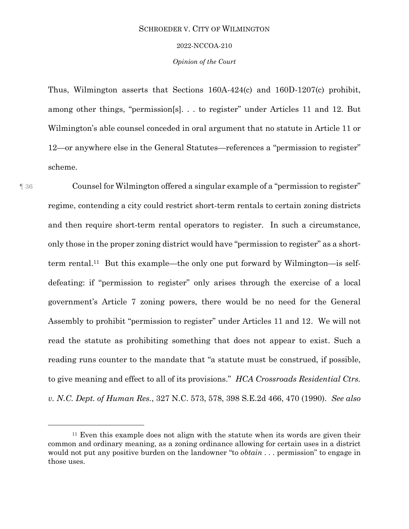#### 2022-NCCOA-210

#### *Opinion of the Court*

Thus, Wilmington asserts that Sections 160A-424(c) and 160D-1207(c) prohibit, among other things, "permission[s]. . . to register" under Articles 11 and 12. But Wilmington's able counsel conceded in oral argument that no statute in Article 11 or 12—or anywhere else in the General Statutes—references a "permission to register" scheme.

l

¶ 36 Counsel for Wilmington offered a singular example of a "permission to register" regime, contending a city could restrict short-term rentals to certain zoning districts and then require short-term rental operators to register. In such a circumstance, only those in the proper zoning district would have "permission to register" as a shortterm rental. 11 But this example—the only one put forward by Wilmington—is selfdefeating: if "permission to register" only arises through the exercise of a local government's Article 7 zoning powers, there would be no need for the General Assembly to prohibit "permission to register" under Articles 11 and 12. We will not read the statute as prohibiting something that does not appear to exist. Such a reading runs counter to the mandate that "a statute must be construed, if possible, to give meaning and effect to all of its provisions." *HCA Crossroads Residential Ctrs. v. N.C. Dept. of Human Res.*, 327 N.C. 573, 578, 398 S.E.2d 466, 470 (1990). *See also* 

<sup>11</sup> Even this example does not align with the statute when its words are given their common and ordinary meaning, as a zoning ordinance allowing for certain uses in a district would not put any positive burden on the landowner "to *obtain* . . . permission" to engage in those uses.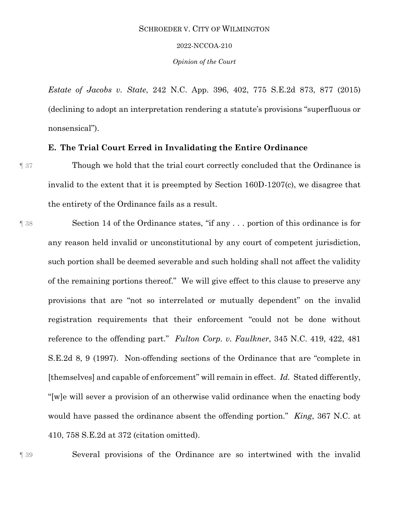#### 2022-NCCOA-210

*Opinion of the Court*

*Estate of Jacobs v. State*, 242 N.C. App. 396, 402, 775 S.E.2d 873, 877 (2015) (declining to adopt an interpretation rendering a statute's provisions "superfluous or nonsensical").

## **E. The Trial Court Erred in Invalidating the Entire Ordinance**

- ¶ 37 Though we hold that the trial court correctly concluded that the Ordinance is invalid to the extent that it is preempted by Section 160D-1207(c), we disagree that the entirety of the Ordinance fails as a result.
- ¶ 38 Section 14 of the Ordinance states, "if any . . . portion of this ordinance is for any reason held invalid or unconstitutional by any court of competent jurisdiction, such portion shall be deemed severable and such holding shall not affect the validity of the remaining portions thereof." We will give effect to this clause to preserve any provisions that are "not so interrelated or mutually dependent" on the invalid registration requirements that their enforcement "could not be done without reference to the offending part." *Fulton Corp. v. Faulkner*, 345 N.C. 419, 422, 481 S.E.2d 8, 9 (1997). Non-offending sections of the Ordinance that are "complete in [themselves] and capable of enforcement" will remain in effect. *Id.* Stated differently, "[w]e will sever a provision of an otherwise valid ordinance when the enacting body would have passed the ordinance absent the offending portion." *King*, 367 N.C. at 410, 758 S.E.2d at 372 (citation omitted).

¶ 39 Several provisions of the Ordinance are so intertwined with the invalid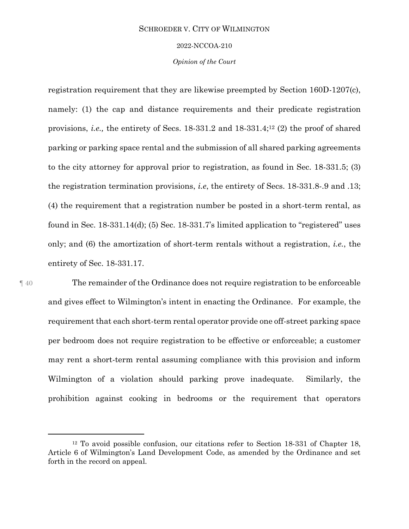#### 2022-NCCOA-210

#### *Opinion of the Court*

registration requirement that they are likewise preempted by Section 160D-1207(c), namely: (1) the cap and distance requirements and their predicate registration provisions, *i.e.*, the entirety of Secs. 18-331.2 and 18-331.4;<sup>12</sup> (2) the proof of shared parking or parking space rental and the submission of all shared parking agreements to the city attorney for approval prior to registration, as found in Sec. 18-331.5; (3) the registration termination provisions, *i.e*, the entirety of Secs. 18-331.8-.9 and .13; (4) the requirement that a registration number be posted in a short-term rental, as found in Sec. 18-331.14(d); (5) Sec. 18-331.7's limited application to "registered" uses only; and (6) the amortization of short-term rentals without a registration, *i.e.*, the entirety of Sec. 18-331.17.

 $\overline{a}$ 

¶ 40 The remainder of the Ordinance does not require registration to be enforceable and gives effect to Wilmington's intent in enacting the Ordinance. For example, the requirement that each short-term rental operator provide one off-street parking space per bedroom does not require registration to be effective or enforceable; a customer may rent a short-term rental assuming compliance with this provision and inform Wilmington of a violation should parking prove inadequate. Similarly, the prohibition against cooking in bedrooms or the requirement that operators

<sup>12</sup> To avoid possible confusion, our citations refer to Section 18-331 of Chapter 18, Article 6 of Wilmington's Land Development Code, as amended by the Ordinance and set forth in the record on appeal.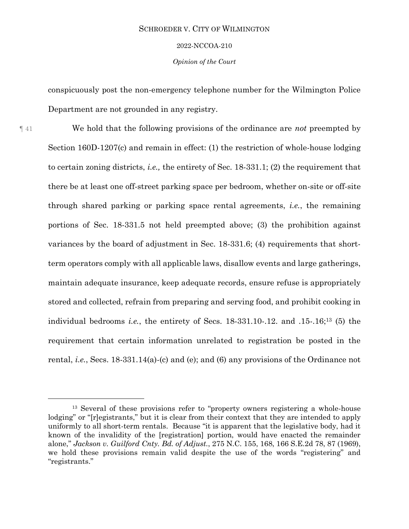#### 2022-NCCOA-210

#### *Opinion of the Court*

conspicuously post the non-emergency telephone number for the Wilmington Police Department are not grounded in any registry.

¶ 41 We hold that the following provisions of the ordinance are *not* preempted by Section 160D-1207(c) and remain in effect: (1) the restriction of whole-house lodging to certain zoning districts, *i.e.,* the entirety of Sec. 18-331.1; (2) the requirement that there be at least one off-street parking space per bedroom, whether on-site or off-site through shared parking or parking space rental agreements, *i.e.*, the remaining portions of Sec. 18-331.5 not held preempted above; (3) the prohibition against variances by the board of adjustment in Sec. 18-331.6; (4) requirements that shortterm operators comply with all applicable laws, disallow events and large gatherings, maintain adequate insurance, keep adequate records, ensure refuse is appropriately stored and collected, refrain from preparing and serving food, and prohibit cooking in individual bedrooms *i.e.*, the entirety of Secs. 18-331.10-.12. and .15-.16;<sup>13</sup> (5) the requirement that certain information unrelated to registration be posted in the rental, *i.e.*, Secs. 18-331.14(a)-(c) and (e); and (6) any provisions of the Ordinance not

l

<sup>&</sup>lt;sup>13</sup> Several of these provisions refer to "property owners registering a whole-house lodging" or "[r]egistrants," but it is clear from their context that they are intended to apply uniformly to all short-term rentals. Because "it is apparent that the legislative body, had it known of the invalidity of the [registration] portion, would have enacted the remainder alone," *Jackson v. Guilford Cnty. Bd. of Adjust.*, 275 N.C. 155, 168, 166 S.E.2d 78, 87 (1969), we hold these provisions remain valid despite the use of the words "registering" and "registrants."